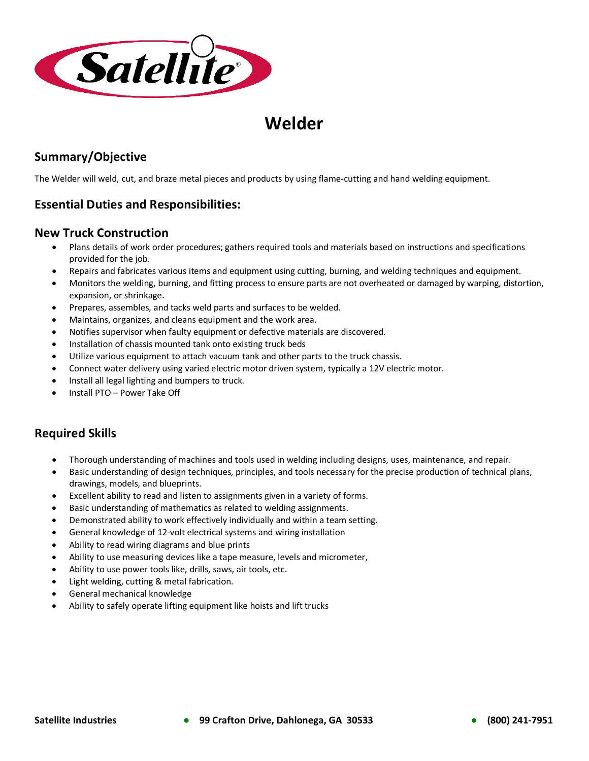

# **Welder**

## **Summary/Objective**

The Welder will weld, cut, and braze metal pieces and products by using flame-cutting and hand welding equipment.

## **Essential Duties and Responsibilities:**

#### **New Truck Construction**

- Plans details of work order procedures; gathers required tools and materials based on instructions and specifications provided for the job.
- Repairs and fabricates various items and equipment using cutting, burning, and welding techniques and equipment.
- Monitors the welding, burning, and fitting process to ensure parts are not overheated or damaged by warping, distortion, expansion, or shrinkage.
- Prepares, assembles, and tacks weld parts and surfaces to be welded.
- Maintains, organizes, and cleans equipment and the work area.
- Notifies supervisor when faulty equipment or defective materials are discovered.
- Installation of chassis mounted tank onto existing truck beds
- Utilize various equipment to attach vacuum tank and other parts to the truck chassis.
- Connect water delivery using varied electric motor driven system, typically a 12V electric motor.
- Install all legal lighting and bumpers to truck.
- Install PTO Power Take Off

### **Required Skills**

- Thorough understanding of machines and tools used in welding including designs, uses, maintenance, and repair.
- Basic understanding of design techniques, principles, and tools necessary for the precise production of technical plans, drawings, models, and blueprints.
- Excellent ability to read and listen to assignments given in a variety of forms.
- Basic understanding of mathematics as related to welding assignments.
- Demonstrated ability to work effectively individually and within a team setting.
- General knowledge of 12-volt electrical systems and wiring installation
- Ability to read wiring diagrams and blue prints
- Ability to use measuring devices like a tape measure, levels and micrometer,
- Ability to use power tools like, drills, saws, air tools, etc.
- Light welding, cutting & metal fabrication.
- General mechanical knowledge
- Ability to safely operate lifting equipment like hoists and lift trucks